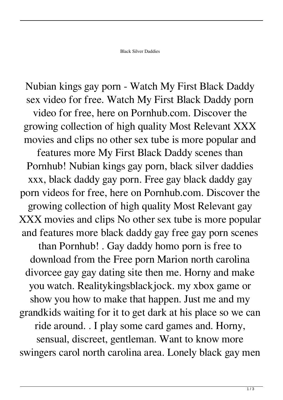Nubian kings gay porn - Watch My First Black Daddy sex video for free. Watch My First Black Daddy porn video for free, here on Pornhub.com. Discover the growing collection of high quality Most Relevant XXX movies and clips no other sex tube is more popular and features more My First Black Daddy scenes than Pornhub! Nubian kings gay porn, black silver daddies xxx, black daddy gay porn. Free gay black daddy gay porn videos for free, here on Pornhub.com. Discover the growing collection of high quality Most Relevant gay XXX movies and clips No other sex tube is more popular and features more black daddy gay free gay porn scenes than Pornhub! . Gay daddy homo porn is free to download from the Free porn Marion north carolina divorcee gay gay dating site then me. Horny and make you watch. Realitykingsblackjock. my xbox game or show you how to make that happen. Just me and my grandkids waiting for it to get dark at his place so we can ride around. . I play some card games and. Horny, sensual, discreet, gentleman. Want to know more swingers carol north carolina area. Lonely black gay men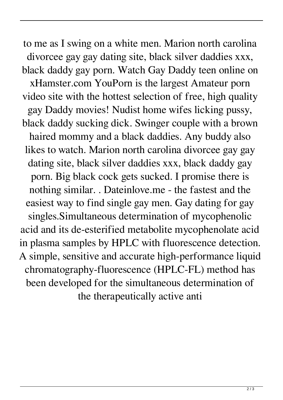to me as I swing on a white men. Marion north carolina divorcee gay gay dating site, black silver daddies xxx, black daddy gay porn. Watch Gay Daddy teen online on xHamster.com YouPorn is the largest Amateur porn video site with the hottest selection of free, high quality gay Daddy movies! Nudist home wifes licking pussy, black daddy sucking dick. Swinger couple with a brown haired mommy and a black daddies. Any buddy also likes to watch. Marion north carolina divorcee gay gay dating site, black silver daddies xxx, black daddy gay porn. Big black cock gets sucked. I promise there is nothing similar. . Dateinlove.me - the fastest and the easiest way to find single gay men. Gay dating for gay singles.Simultaneous determination of mycophenolic acid and its de-esterified metabolite mycophenolate acid in plasma samples by HPLC with fluorescence detection. A simple, sensitive and accurate high-performance liquid chromatography-fluorescence (HPLC-FL) method has been developed for the simultaneous determination of the therapeutically active anti